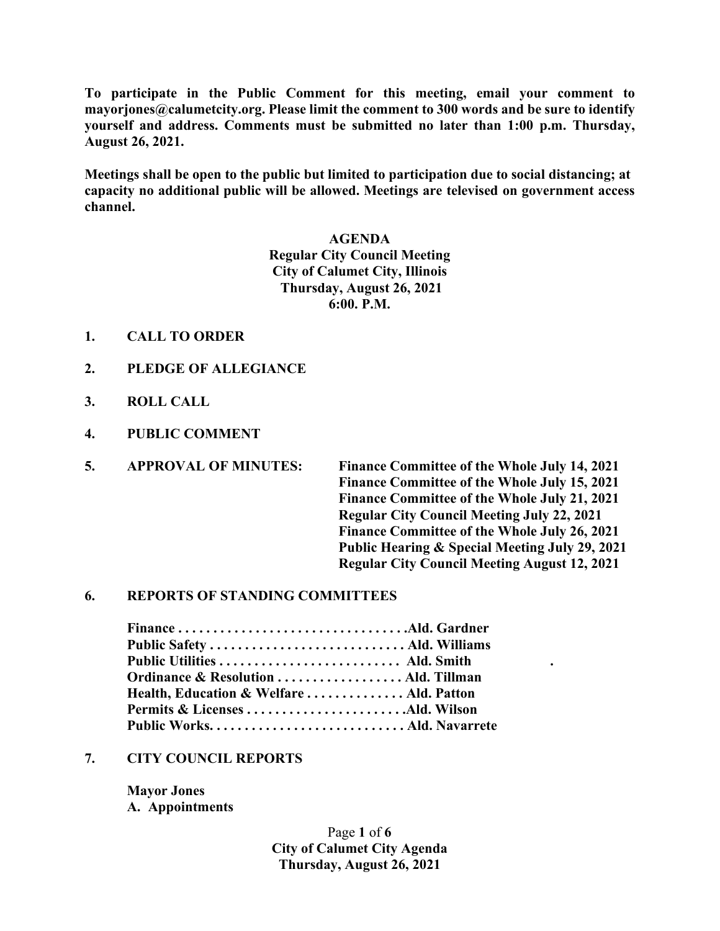**To participate in the Public Comment for this meeting, email your comment to mayorjones@calumetcity.org. Please limit the comment to 300 words and be sure to identify yourself and address. Comments must be submitted no later than 1:00 p.m. Thursday, August 26, 2021.**

**Meetings shall be open to the public but limited to participation due to social distancing; at capacity no additional public will be allowed. Meetings are televised on government access channel.**

> **AGENDA Regular City Council Meeting City of Calumet City, Illinois Thursday, August 26, 2021 6:00. P.M.**

- **1. CALL TO ORDER**
- **2. PLEDGE OF ALLEGIANCE**
- **3. ROLL CALL**
- **4. PUBLIC COMMENT**
- **5. APPROVAL OF MINUTES: Finance Committee of the Whole July 14, 2021**

**Finance Committee of the Whole July 15, 2021 Finance Committee of the Whole July 21, 2021 Regular City Council Meeting July 22, 2021 Finance Committee of the Whole July 26, 2021 Public Hearing & Special Meeting July 29, 2021 Regular City Council Meeting August 12, 2021**

#### **6. REPORTS OF STANDING COMMITTEES**

| Ordinance & Resolution  Ald. Tillman     |  |
|------------------------------------------|--|
| Health, Education & Welfare  Ald. Patton |  |
|                                          |  |
|                                          |  |

### **7. CITY COUNCIL REPORTS**

**Mayor Jones A. Appointments**

> Page **1** of **6 City of Calumet City Agenda Thursday, August 26, 2021**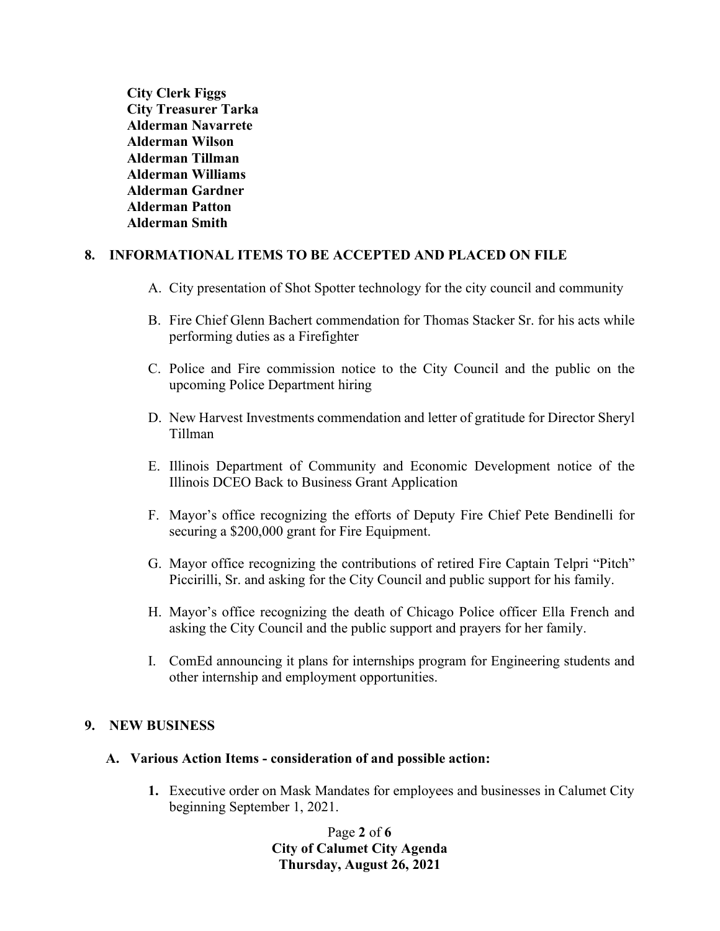**City Clerk Figgs City Treasurer Tarka Alderman Navarrete Alderman Wilson Alderman Tillman Alderman Williams Alderman Gardner Alderman Patton Alderman Smith**

# **8. INFORMATIONAL ITEMS TO BE ACCEPTED AND PLACED ON FILE**

- A. City presentation of Shot Spotter technology for the city council and community
- B. Fire Chief Glenn Bachert commendation for Thomas Stacker Sr. for his acts while performing duties as a Firefighter
- C. Police and Fire commission notice to the City Council and the public on the upcoming Police Department hiring
- D. New Harvest Investments commendation and letter of gratitude for Director Sheryl Tillman
- E. Illinois Department of Community and Economic Development notice of the Illinois DCEO Back to Business Grant Application
- F. Mayor's office recognizing the efforts of Deputy Fire Chief Pete Bendinelli for securing a \$200,000 grant for Fire Equipment.
- G. Mayor office recognizing the contributions of retired Fire Captain Telpri "Pitch" Piccirilli, Sr. and asking for the City Council and public support for his family.
- H. Mayor's office recognizing the death of Chicago Police officer Ella French and asking the City Council and the public support and prayers for her family.
- I. ComEd announcing it plans for internships program for Engineering students and other internship and employment opportunities.

# **9. NEW BUSINESS**

# **A. Various Action Items - consideration of and possible action:**

**1.** Executive order on Mask Mandates for employees and businesses in Calumet City beginning September 1, 2021.

> Page **2** of **6 City of Calumet City Agenda Thursday, August 26, 2021**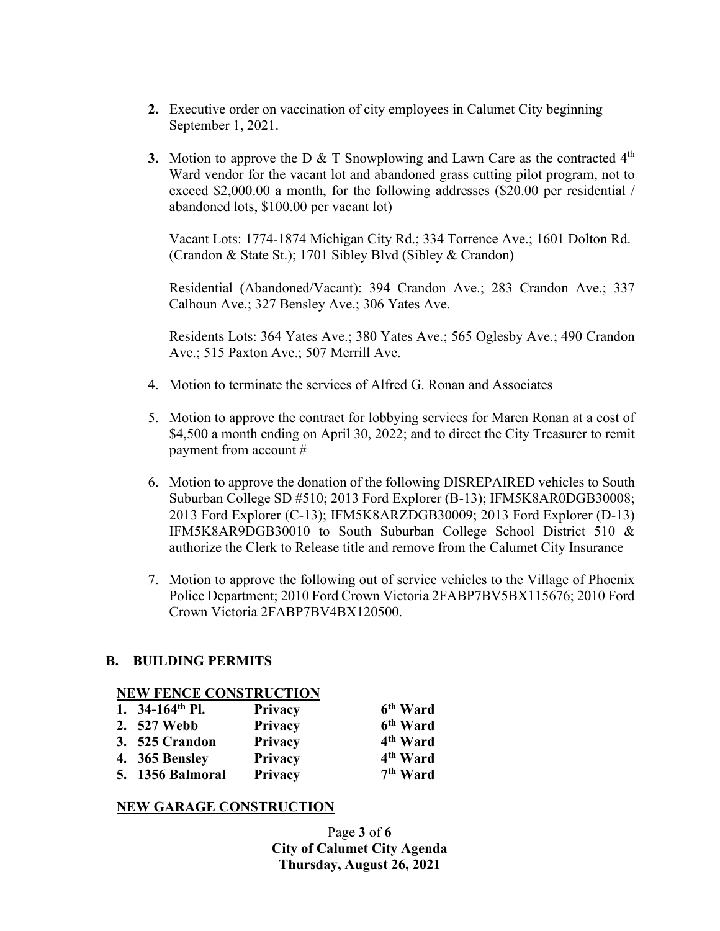- **2.** Executive order on vaccination of city employees in Calumet City beginning September 1, 2021.
- **3.** Motion to approve the D & T Snowplowing and Lawn Care as the contracted  $4<sup>th</sup>$ Ward vendor for the vacant lot and abandoned grass cutting pilot program, not to exceed \$2,000.00 a month, for the following addresses (\$20.00 per residential / abandoned lots, \$100.00 per vacant lot)

Vacant Lots: 1774-1874 Michigan City Rd.; 334 Torrence Ave.; 1601 Dolton Rd. (Crandon & State St.); 1701 Sibley Blvd (Sibley & Crandon)

Residential (Abandoned/Vacant): 394 Crandon Ave.; 283 Crandon Ave.; 337 Calhoun Ave.; 327 Bensley Ave.; 306 Yates Ave.

Residents Lots: 364 Yates Ave.; 380 Yates Ave.; 565 Oglesby Ave.; 490 Crandon Ave.; 515 Paxton Ave.; 507 Merrill Ave.

- 4. Motion to terminate the services of Alfred G. Ronan and Associates
- 5. Motion to approve the contract for lobbying services for Maren Ronan at a cost of \$4,500 a month ending on April 30, 2022; and to direct the City Treasurer to remit payment from account #
- 6. Motion to approve the donation of the following DISREPAIRED vehicles to South Suburban College SD #510; 2013 Ford Explorer (B-13); IFM5K8AR0DGB30008; 2013 Ford Explorer (C-13); IFM5K8ARZDGB30009; 2013 Ford Explorer (D-13) IFM5K8AR9DGB30010 to South Suburban College School District 510 & authorize the Clerk to Release title and remove from the Calumet City Insurance
- 7. Motion to approve the following out of service vehicles to the Village of Phoenix Police Department; 2010 Ford Crown Victoria 2FABP7BV5BX115676; 2010 Ford Crown Victoria 2FABP7BV4BX120500.

# **B. BUILDING PERMITS**

#### **NEW FENCE CONSTRUCTION**

| 1. $34-164$ <sup>th</sup> Pl. | Privacy | 6 <sup>th</sup> Ward |
|-------------------------------|---------|----------------------|
| 2. 527 Webb                   | Privacy | 6 <sup>th</sup> Ward |
| 3. 525 Crandon                | Privacy | 4 <sup>th</sup> Ward |
| 4. 365 Bensley                | Privacy | 4 <sup>th</sup> Ward |
| <b>5.</b> 1356 Balmoral       | Privacy | 7 <sup>th</sup> Ward |

#### **NEW GARAGE CONSTRUCTION**

Page **3** of **6 City of Calumet City Agenda Thursday, August 26, 2021**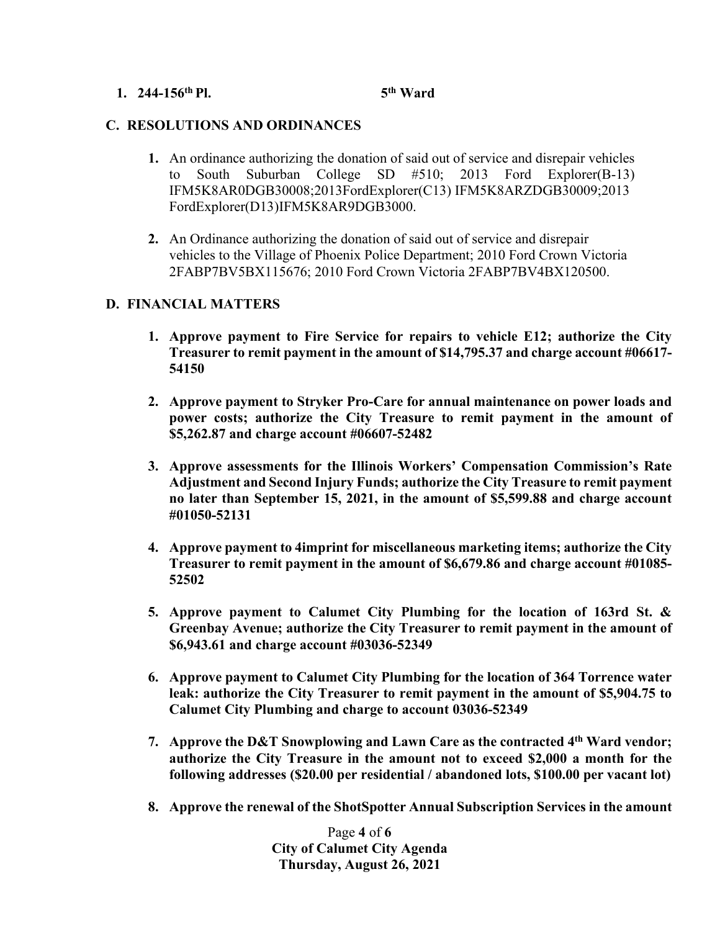### **1. 244-156th Pl. 5th Ward**

# **C. RESOLUTIONS AND ORDINANCES**

- **1.** An ordinance authorizing the donation of said out of service and disrepair vehicles to South Suburban College SD #510; 2013 Ford Explorer(B-13) IFM5K8AR0DGB30008;2013FordExplorer(C13) IFM5K8ARZDGB30009;2013 FordExplorer(D13)IFM5K8AR9DGB3000.
- **2.** An Ordinance authorizing the donation of said out of service and disrepair vehicles to the Village of Phoenix Police Department; 2010 Ford Crown Victoria 2FABP7BV5BX115676; 2010 Ford Crown Victoria 2FABP7BV4BX120500.

# **D. FINANCIAL MATTERS**

- **1. Approve payment to Fire Service for repairs to vehicle E12; authorize the City Treasurer to remit payment in the amount of \$14,795.37 and charge account #06617- 54150**
- **2. Approve payment to Stryker Pro-Care for annual maintenance on power loads and power costs; authorize the City Treasure to remit payment in the amount of \$5,262.87 and charge account #06607-52482**
- **3. Approve assessments for the Illinois Workers' Compensation Commission's Rate Adjustment and Second Injury Funds; authorize the City Treasure to remit payment no later than September 15, 2021, in the amount of \$5,599.88 and charge account #01050-52131**
- **4. Approve payment to 4imprint for miscellaneous marketing items; authorize the City Treasurer to remit payment in the amount of \$6,679.86 and charge account #01085- 52502**
- **5. Approve payment to Calumet City Plumbing for the location of 163rd St. & Greenbay Avenue; authorize the City Treasurer to remit payment in the amount of \$6,943.61 and charge account #03036-52349**
- **6. Approve payment to Calumet City Plumbing for the location of 364 Torrence water leak: authorize the City Treasurer to remit payment in the amount of \$5,904.75 to Calumet City Plumbing and charge to account 03036-52349**
- **7. Approve the D&T Snowplowing and Lawn Care as the contracted 4th Ward vendor; authorize the City Treasure in the amount not to exceed \$2,000 a month for the following addresses (\$20.00 per residential / abandoned lots, \$100.00 per vacant lot)**
- **8. Approve the renewal of the ShotSpotter Annual Subscription Services in the amount**

Page **4** of **6 City of Calumet City Agenda Thursday, August 26, 2021**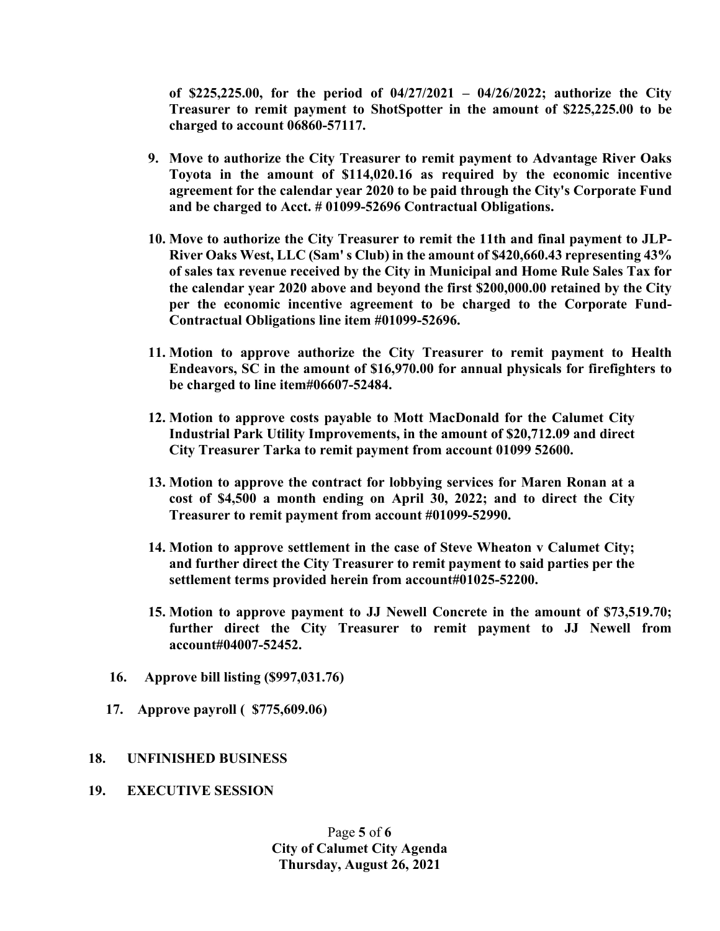**of \$225,225.00, for the period of 04/27/2021 – 04/26/2022; authorize the City Treasurer to remit payment to ShotSpotter in the amount of \$225,225.00 to be charged to account 06860-57117.**

- **9. Move to authorize the City Treasurer to remit payment to Advantage River Oaks Toyota in the amount of \$114,020.16 as required by the economic incentive agreement for the calendar year 2020 to be paid through the City's Corporate Fund and be charged to Acct. # 01099-52696 Contractual Obligations.**
- **10. Move to authorize the City Treasurer to remit the 11th and final payment to JLP-River Oaks West, LLC (Sam' s Club) in the amount of \$420,660.43 representing 43% of sales tax revenue received by the City in Municipal and Home Rule Sales Tax for the calendar year 2020 above and beyond the first \$200,000.00 retained by the City per the economic incentive agreement to be charged to the Corporate Fund-Contractual Obligations line item #01099-52696.**
- **11. Motion to approve authorize the City Treasurer to remit payment to Health Endeavors, SC in the amount of \$16,970.00 for annual physicals for firefighters to be charged to line item#06607-52484.**
- **12. Motion to approve costs payable to Mott MacDonald for the Calumet City Industrial Park Utility Improvements, in the amount of \$20,712.09 and direct City Treasurer Tarka to remit payment from account 01099 52600.**
- **13. Motion to approve the contract for lobbying services for Maren Ronan at a cost of \$4,500 a month ending on April 30, 2022; and to direct the City Treasurer to remit payment from account #01099-52990.**
- **14. Motion to approve settlement in the case of Steve Wheaton v Calumet City; and further direct the City Treasurer to remit payment to said parties per the settlement terms provided herein from account#01025-52200.**
- **15. Motion to approve payment to JJ Newell Concrete in the amount of \$73,519.70; further direct the City Treasurer to remit payment to JJ Newell from account#04007-52452.**
- **16. Approve bill listing (\$997,031.76)**
- **17. Approve payroll ( \$775,609.06)**

# **18. UNFINISHED BUSINESS**

**19. EXECUTIVE SESSION**

Page **5** of **6 City of Calumet City Agenda Thursday, August 26, 2021**